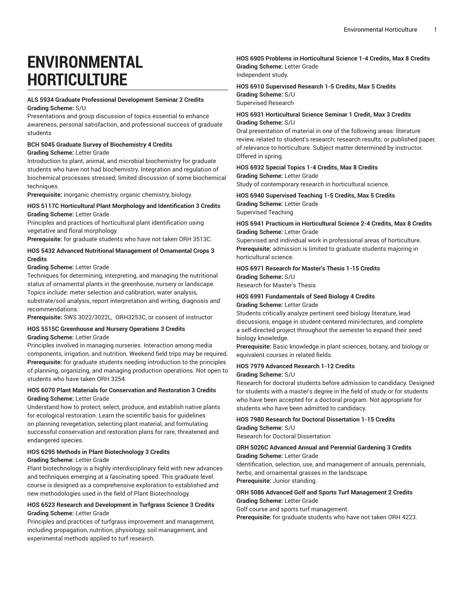# **ENVIRONMENTAL HORTICULTURE**

#### **ALS 5934 Graduate Professional Development Seminar 2 Credits Grading Scheme:** S/U

Presentations and group discussion of topics essential to enhance awareness, personal satisfaction, and professional success of graduate students

# **BCH 5045 Graduate Survey of Biochemistry 4 Credits**

#### **Grading Scheme:** Letter Grade

Introduction to plant, animal, and microbial biochemistry for graduate students who have not had biochemistry. Integration and regulation of biochemical processes stressed; limited discussion of some biochemical techniques.

**Prerequisite:** inorganic chemistry, organic chemistry, biology.

#### **HOS 5117C Horticultural Plant Morphology and Identification 3 Credits Grading Scheme:** Letter Grade

Principles and practices of horticultural plant identification using vegetative and floral morphology.

**Prerequisite:** for graduate students who have not taken ORH 3513C.

## **HOS 5432 Advanced Nutritional Management of Ornamental Crops 3 Credits**

**Grading Scheme:** Letter Grade

Techniques for determining, interpreting, and managing the nutritional status of ornamental plants in the greenhouse, nursery or landscape. Topics include: meter selection and calibration, water analysis, substrate/soil analysis, report interpretation and writing, diagnosis and recommendations.

**Prerequisite:** SWS 3022/3022L, ORH3253C, or consent of instructor

#### **HOS 5515C Greenhouse and Nursery Operations 3 Credits Grading Scheme:** Letter Grade

Principles involved in managing nurseries. Interaction among media components, irrigation, and nutrition. Weekend field trips may be required. **Prerequisite:** for graduate students needing introduction to the principles of planning, organizing, and managing production operations. Not open to students who have taken ORH 3254.

#### **HOS 6070 Plant Materials for Conservation and Restoration 3 Credits Grading Scheme:** Letter Grade

Understand how to protect, select, produce, and establish native plants for ecological restoration. Learn the scientific basis for guidelines on planning revegetation, selecting plant material, and formulating successful conservation and restoration plans for rare, threatened and endangered species.

#### **HOS 6295 Methods in Plant Biotechnology 3 Credits Grading Scheme:** Letter Grade

Plant biotechnology is a highly interdisciplinary field with new advances and techniques emerging at a fascinating speed. This graduate level course is designed as a comprehensive exploration to established and new methodologies used in the field of Plant Biotechnology.

#### **HOS 6523 Research and Development in Turfgrass Science 3 Credits Grading Scheme:** Letter Grade

Principles and practices of turfgrass improvement and management, including propagation, nutrition, physiology, soil management, and experimental methods applied to turf research.

## **HOS 6905 Problems in Horticultural Science 1-4 Credits, Max 8 Credits Grading Scheme:** Letter Grade

Independent study.

## **HOS 6910 Supervised Research 1-5 Credits, Max 5 Credits Grading Scheme:** S/U Supervised Research

#### **HOS 6931 Horticultural Science Seminar 1 Credit, Max 3 Credits Grading Scheme:** S/U

Oral presentation of material in one of the following areas: literature review, related to student's research; research results; or published paper, of relevance to horticulture. Subject matter determined by instructor. Offered in spring.

# **HOS 6932 Special Topics 1-4 Credits, Max 8 Credits**

**Grading Scheme:** Letter Grade

Study of contemporary research in horticultural science.

# **HOS 6940 Supervised Teaching 1-5 Credits, Max 5 Credits**

**Grading Scheme:** Letter Grade Supervised Teaching

#### **HOS 6941 Practicum in Horticultural Science 2-4 Credits, Max 8 Credits Grading Scheme:** Letter Grade

Supervised and individual work in professional areas of horticulture. **Prerequisite:** admission is limited to graduate students majoring in horticultural science.

# **HOS 6971 Research for Master's Thesis 1-15 Credits**

**Grading Scheme:** S/U Research for Master's Thesis

#### **HOS 6991 Fundamentals of Seed Biology 4 Credits Grading Scheme:** Letter Grade

Students critically analyze pertinent seed biology literature, lead discussions, engage in student-centered mini-lectures, and complete a self-directed project throughout the semester to expand their seed biology knowledge.

**Prerequisite:** Basic knowledge in plant sciences, botany, and biology or equivalent courses in related fields.

## **HOS 7979 Advanced Research 1-12 Credits**

#### **Grading Scheme:** S/U

Research for doctoral students before admission to candidacy. Designed for students with a master's degree in the field of study or for students who have been accepted for a doctoral program. Not appropriate for students who have been admitted to candidacy.

# **HOS 7980 Research for Doctoral Dissertation 1-15 Credits**

**Grading Scheme:** S/U Research for Doctoral Dissertation

#### **ORH 5026C Advanced Annual and Perennial Gardening 3 Credits Grading Scheme:** Letter Grade

Identification, selection, use, and management of annuals, perennials, herbs, and ornamental grasses in the landscape. **Prerequisite:** Junior standing.

## **ORH 5086 Advanced Golf and Sports Turf Management 2 Credits**

**Grading Scheme:** Letter Grade

Golf course and sports turf management.

**Prerequisite:** for graduate students who have not taken ORH 4223.